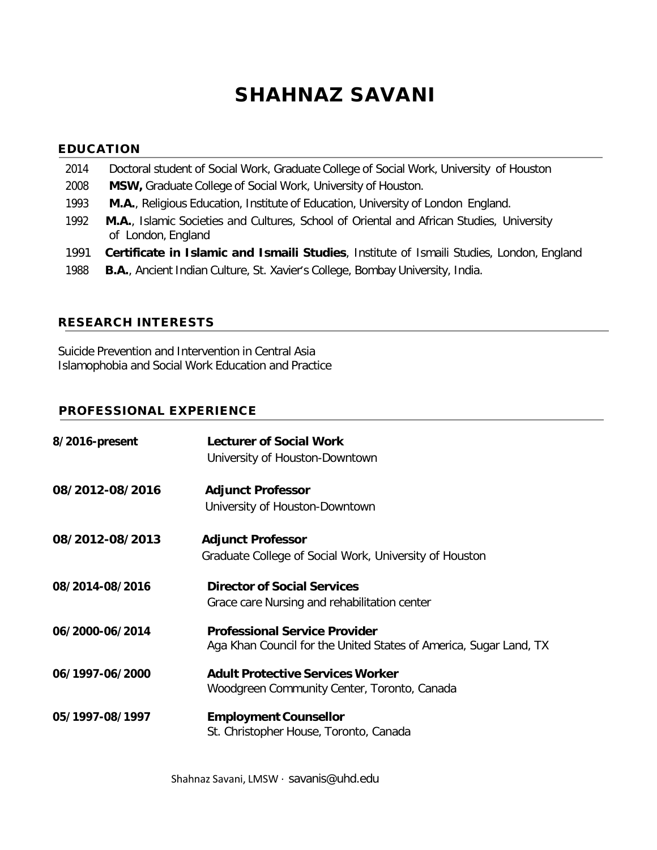# SHAHNAZ SAVANI

# EDUCATION

- 2014 Doctoral student of Social Work, Graduate College of Social Work, University of Houston
- 2008 **MSW,** Graduate College of Social Work, University of Houston.
- 1993 **M.A.**, Religious Education, Institute of Education, University of London England.
- 1992 **M.A.**, Islamic Societies and Cultures, School of Oriental and African Studies, University of London, England
- 1991 **Certificate in Islamic and Ismaili Studies**, Institute of Ismaili Studies, London, England
- 1988 **B.A.**, Ancient Indian Culture, St. Xavier's College, Bombay University, India.

## RESEARCH INTERESTS

Suicide Prevention and Intervention in Central Asia Islamophobia and Social Work Education and Practice

# PROFESSIONAL EXPERIENCE

| 8/2016-present  | <b>Lecturer of Social Work</b><br>University of Houston-Downtown                                          |
|-----------------|-----------------------------------------------------------------------------------------------------------|
| 08/2012-08/2016 | <b>Adjunct Professor</b>                                                                                  |
|                 | University of Houston-Downtown                                                                            |
| 08/2012-08/2013 | <b>Adjunct Professor</b>                                                                                  |
|                 | Graduate College of Social Work, University of Houston                                                    |
| 08/2014-08/2016 | <b>Director of Social Services</b>                                                                        |
|                 | Grace care Nursing and rehabilitation center                                                              |
| 06/2000-06/2014 | <b>Professional Service Provider</b><br>Aga Khan Council for the United States of America, Sugar Land, TX |
| 06/1997-06/2000 | <b>Adult Protective Services Worker</b>                                                                   |
|                 | Woodgreen Community Center, Toronto, Canada                                                               |
| 05/1997-08/1997 | <b>Employment Counsellor</b>                                                                              |
|                 | St. Christopher House, Toronto, Canada                                                                    |

Shahnaz Savani, LMSW · [savanis@uhd.edu](mailto:savanis@uhd.edu)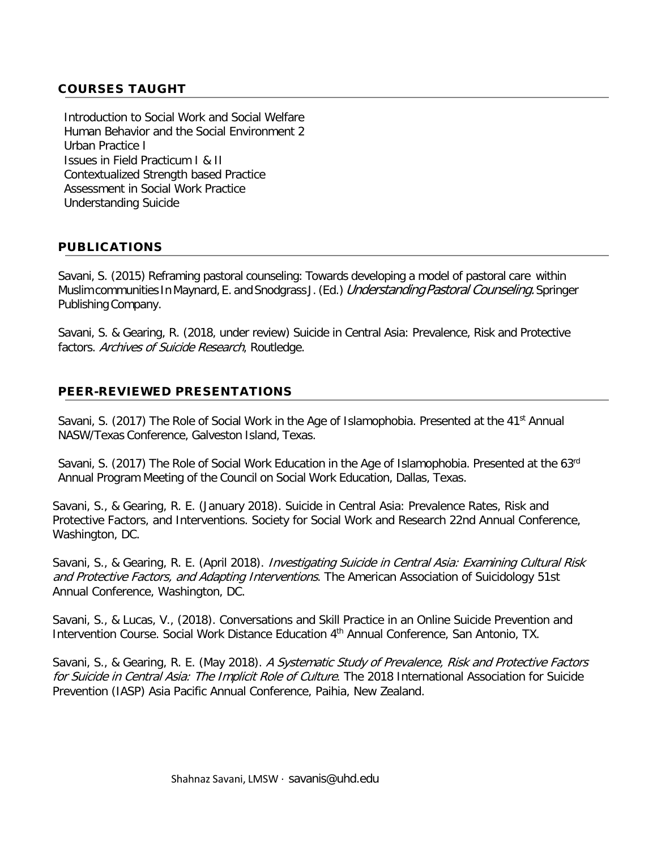# COURSES TAUGHT

Introduction to Social Work and Social Welfare Human Behavior and the Social Environment 2 Urban Practice I Issues in Field Practicum I & II Contextualized Strength based Practice Assessment in Social Work Practice Understanding Suicide

# PUBLICATIONS

Savani, S. (2015) Reframing pastoral counseling: Towards developing a model of pastoral care within Muslim communities In Maynard, E. and Snodgrass J. (Ed.) Understanding Pastoral Counseling. Springer Publishing Company.

Savani, S. & Gearing, R. (2018, under review) Suicide in Central Asia: Prevalence, Risk and Protective factors. Archives of Suicide Research, Routledge.

## PEER-REVIEWED PRESENTATIONS

Savani, S. (2017) The Role of Social Work in the Age of Islamophobia. Presented at the 41<sup>st</sup> Annual NASW/Texas Conference, Galveston Island, Texas.

Savani, S. (2017) The Role of Social Work Education in the Age of Islamophobia. Presented at the 63<sup>rd</sup> Annual Program Meeting of the Council on Social Work Education, Dallas, Texas.

Savani, S., & Gearing, R. E. (January 2018). Suicide in Central Asia: Prevalence Rates, Risk and Protective Factors, and Interventions. Society for Social Work and Research 22nd Annual Conference, Washington, DC.

Savani, S., & Gearing, R. E. (April 2018). *Investigating Suicide in Central Asia: Examining Cultural Risk* and Protective Factors, and Adapting Interventions. The American Association of Suicidology 51st Annual Conference, Washington, DC.

Savani, S., & Lucas, V., (2018). Conversations and Skill Practice in an Online Suicide Prevention and Intervention Course. Social Work Distance Education 4<sup>th</sup> Annual Conference, San Antonio, TX.

Savani, S., & Gearing, R. E. (May 2018). A Systematic Study of Prevalence, Risk and Protective Factors for Suicide in Central Asia: The Implicit Role of Culture. The 2018 International Association for Suicide Prevention (IASP) Asia Pacific Annual Conference, Paihia, New Zealand.